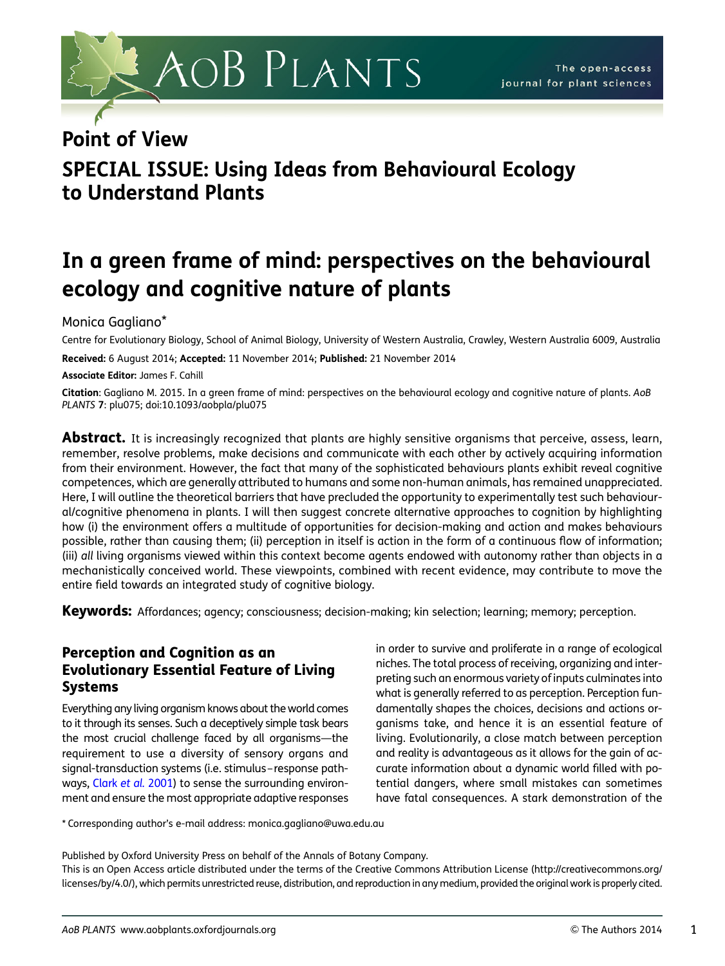# AOB PLANTS

# Point of View

# SPECIAL ISSUE: Using Ideas from Behavioural Ecology to Understand Plants

# In a green frame of mind: perspectives on the behavioural ecology and cognitive nature of plants

#### Monica Gagliano\*

Centre for Evolutionary Biology, School of Animal Biology, University of Western Australia, Crawley, Western Australia 6009, Australia Received: 6 August 2014; Accepted: 11 November 2014; Published: 21 November 2014

Associate Editor: James F. Cahill

Citation: Gagliano M. 2015. In a green frame of mind: perspectives on the behavioural ecology and cognitive nature of plants. AoB PLANTS 7: plu075; doi:10.1093/aobpla/plu075

Abstract. It is increasingly recognized that plants are highly sensitive organisms that perceive, assess, learn, remember, resolve problems, make decisions and communicate with each other by actively acquiring information from their environment. However, the fact that many of the sophisticated behaviours plants exhibit reveal cognitive competences, which are generally attributed to humans and some non-human animals, has remained unappreciated. Here, I will outline the theoretical barriers that have precluded the opportunity to experimentally test such behavioural/cognitive phenomena in plants. I will then suggest concrete alternative approaches to cognition by highlighting how (i) the environment offers a multitude of opportunities for decision-making and action and makes behaviours possible, rather than causing them; (ii) perception in itself is action in the form of a continuous flow of information; (iii) all living organisms viewed within this context become agents endowed with autonomy rather than objects in a mechanistically conceived world. These viewpoints, combined with recent evidence, may contribute to move the entire field towards an integrated study of cognitive biology.

Keywords: Affordances; agency; consciousness; decision-making; kin selection; learning; memory; perception.

# Perception and Cognition as an Evolutionary Essential Feature of Living Systems

Everything any living organism knows about the world comes to it through its senses. Such a deceptively simple task bears the most crucial challenge faced by all organisms—the requirement to use a diversity of sensory organs and signal-transduction systems (i.e. stimulus–response pathways, Clark et al. [2001](#page-5-0)) to sense the surrounding environment and ensure the most appropriate adaptive responses

in order to survive and proliferate in a range of ecological niches. The total process of receiving, organizing and interpreting such an enormous variety of inputs culminates into what is generally referred to as perception. Perception fundamentally shapes the choices, decisions and actions organisms take, and hence it is an essential feature of living. Evolutionarily, a close match between perception and reality is advantageous as it allows for the gain of accurate information about a dynamic world filled with potential dangers, where small mistakes can sometimes have fatal consequences. A stark demonstration of the

\* Corresponding author's e-mail address: monica.gagliano@uwa.edu.au

Published by Oxford University Press on behalf of the Annals of Botany Company.

This is an Open Access article distributed under the terms of the Creative Commons Attribution License [\(http://creativecommons.org/](http://creativecommons.org/licenses/by/4.0/) [licenses/by/4.0/](http://creativecommons.org/licenses/by/4.0/)), which permits unrestricted reuse, distribution, and reproduction in any medium, provided the original work is properly cited.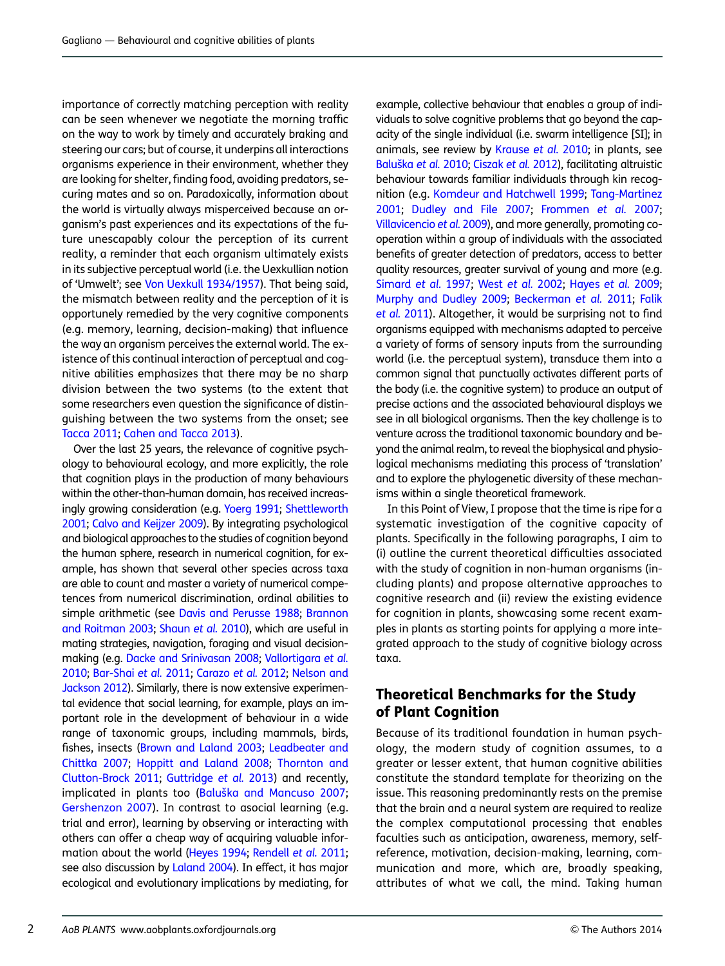importance of correctly matching perception with reality can be seen whenever we negotiate the morning traffic on the way to work by timely and accurately braking and steering our cars; but of course, it underpins all interactions organisms experience in their environment, whether they are looking for shelter, finding food, avoiding predators, securing mates and so on. Paradoxically, information about the world is virtually always misperceived because an organism's past experiences and its expectations of the future unescapably colour the perception of its current reality, a reminder that each organism ultimately exists in its subjective perceptual world (i.e. the Uexkullian notion of 'Umwelt'; see [Von Uexkull 1934/1957\)](#page-7-0). That being said, the mismatch between reality and the perception of it is opportunely remedied by the very cognitive components (e.g. memory, learning, decision-making) that influence the way an organism perceives the external world. The existence of this continual interaction of perceptual and cognitive abilities emphasizes that there may be no sharp division between the two systems (to the extent that some researchers even question the significance of distinguishing between the two systems from the onset; see [Tacca 2011;](#page-7-0) [Cahen and Tacca 2013](#page-5-0)).

Over the last 25 years, the relevance of cognitive psychology to behavioural ecology, and more explicitly, the role that cognition plays in the production of many behaviours within the other-than-human domain, has received increasingly growing consideration (e.g. [Yoerg 1991;](#page-7-0) [Shettleworth](#page-7-0) [2001](#page-7-0); [Calvo and Keijzer 2009\)](#page-5-0). By integrating psychological and biological approaches to the studies of cognition beyond the human sphere, research in numerical cognition, for example, has shown that several other species across taxa are able to count and master a variety of numerical competences from numerical discrimination, ordinal abilities to simple arithmetic (see [Davis and Perusse 1988](#page-5-0); [Brannon](#page-5-0) [and Roitman 2003](#page-5-0); [Shaun](#page-7-0) et al. 2010), which are useful in mating strategies, navigation, foraging and visual decisionmaking (e.g. [Dacke and Srinivasan 2008;](#page-5-0) [Vallortigara](#page-7-0) et al. [2010](#page-7-0); [Bar-Shai](#page-5-0) et al. 2011; [Carazo](#page-5-0) et al. 2012; [Nelson and](#page-6-0) [Jackson 2012\)](#page-6-0). Similarly, there is now extensive experimental evidence that social learning, for example, plays an important role in the development of behaviour in a wide range of taxonomic groups, including mammals, birds, fishes, insects [\(Brown and Laland 2003](#page-5-0); [Leadbeater and](#page-6-0) [Chittka 2007](#page-6-0); [Hoppitt and Laland 2008](#page-6-0); [Thornton and](#page-7-0) [Clutton-Brock 2011;](#page-7-0) [Guttridge](#page-6-0) et al. 2013) and recently, implicated in plants too (Baluška and Mancuso 2007; [Gershenzon 2007](#page-6-0)). In contrast to asocial learning (e.g. trial and error), learning by observing or interacting with others can offer a cheap way of acquiring valuable information about the world [\(Heyes 1994;](#page-6-0) [Rendell](#page-6-0) et al. 2011; see also discussion by [Laland 2004](#page-6-0)). In effect, it has major ecological and evolutionary implications by mediating, for

example, collective behaviour that enables a group of individuals to solve cognitive problems that go beyond the capacity of the single individual (i.e. swarm intelligence [SI]; in animals, see review by [Krause](#page-6-0) et al. 2010; in plants, see Baluška et al. 2010; [Ciszak](#page-5-0) et al. 2012), facilitating altruistic behaviour towards familiar individuals through kin recognition (e.g. [Komdeur and Hatchwell 1999](#page-6-0); [Tang-Martinez](#page-7-0) [2001;](#page-7-0) [Dudley and File 2007](#page-5-0); [Frommen](#page-5-0) et al. 2007; [Villavicencio](#page-7-0) et al. 2009), and more generally, promoting cooperation within a group of individuals with the associated benefits of greater detection of predators, access to better quality resources, greater survival of young and more (e.g. [Simard](#page-7-0) et al. 1997; West [et al.](#page-7-0) 2002; [Hayes](#page-6-0) et al. 2009; [Murphy and Dudley 2009;](#page-6-0) [Beckerman](#page-5-0) et al. 2011; [Falik](#page-5-0) et al. [2011\)](#page-5-0). Altogether, it would be surprising not to find organisms equipped with mechanisms adapted to perceive a variety of forms of sensory inputs from the surrounding world (i.e. the perceptual system), transduce them into a common signal that punctually activates different parts of the body (i.e. the cognitive system) to produce an output of precise actions and the associated behavioural displays we see in all biological organisms. Then the key challenge is to venture across the traditional taxonomic boundary and beyond the animal realm, to reveal the biophysical and physiological mechanisms mediating this process of 'translation' and to explore the phylogenetic diversity of these mechanisms within a single theoretical framework.

In this Point of View, I propose that the time is ripe for a systematic investigation of the cognitive capacity of plants. Specifically in the following paragraphs, I aim to (i) outline the current theoretical difficulties associated with the study of cognition in non-human organisms (including plants) and propose alternative approaches to cognitive research and (ii) review the existing evidence for cognition in plants, showcasing some recent examples in plants as starting points for applying a more integrated approach to the study of cognitive biology across taxa.

# Theoretical Benchmarks for the Study of Plant Cognition

Because of its traditional foundation in human psychology, the modern study of cognition assumes, to a greater or lesser extent, that human cognitive abilities constitute the standard template for theorizing on the issue. This reasoning predominantly rests on the premise that the brain and a neural system are required to realize the complex computational processing that enables faculties such as anticipation, awareness, memory, selfreference, motivation, decision-making, learning, communication and more, which are, broadly speaking, attributes of what we call, the mind. Taking human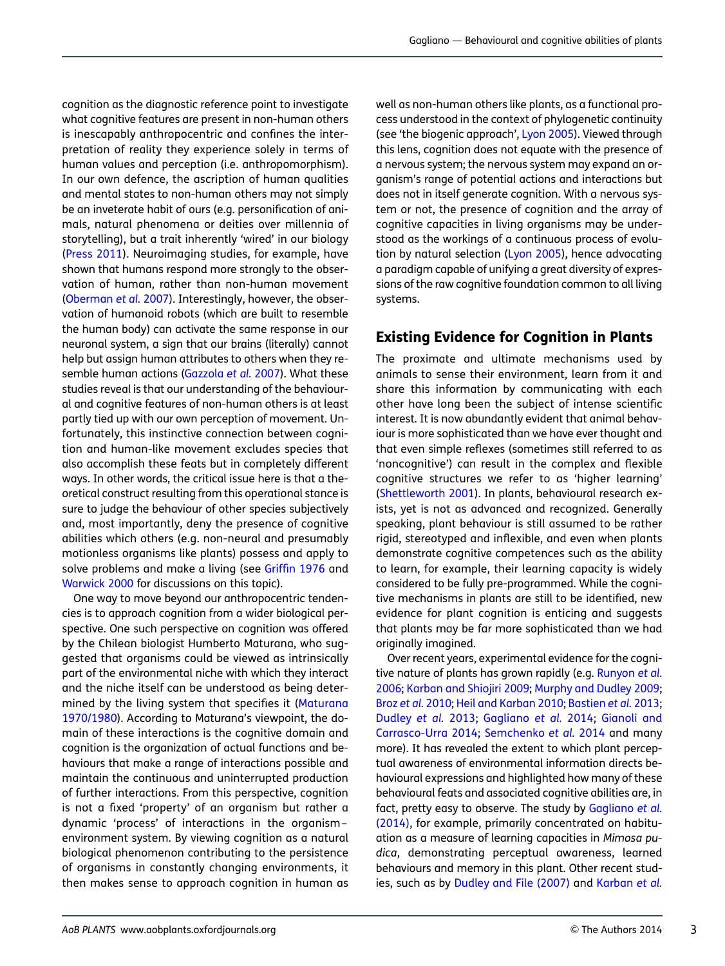cognition as the diagnostic reference point to investigate what cognitive features are present in non-human others is inescapably anthropocentric and confines the interpretation of reality they experience solely in terms of human values and perception (i.e. anthropomorphism). In our own defence, the ascription of human qualities and mental states to non-human others may not simply be an inveterate habit of ours (e.g. personification of animals, natural phenomena or deities over millennia of storytelling), but a trait inherently 'wired' in our biology [\(Press 2011\)](#page-6-0). Neuroimaging studies, for example, have shown that humans respond more strongly to the observation of human, rather than non-human movement [\(Oberman](#page-6-0) et al. 2007). Interestingly, however, the observation of humanoid robots (which are built to resemble the human body) can activate the same response in our neuronal system, a sign that our brains (literally) cannot help but assign human attributes to others when they re-semble human actions ([Gazzola](#page-6-0) et al. 2007). What these studies reveal is that our understanding of the behavioural and cognitive features of non-human others is at least partly tied up with our own perception of movement. Unfortunately, this instinctive connection between cognition and human-like movement excludes species that also accomplish these feats but in completely different ways. In other words, the critical issue here is that a theoretical construct resulting from this operational stance is sure to judge the behaviour of other species subjectively and, most importantly, deny the presence of cognitive abilities which others (e.g. non-neural and presumably motionless organisms like plants) possess and apply to solve problems and make a living (see [Griffin 1976](#page-6-0) and [Warwick 2000](#page-7-0) for discussions on this topic).

One way to move beyond our anthropocentric tendencies is to approach cognition from a wider biological perspective. One such perspective on cognition was offered by the Chilean biologist Humberto Maturana, who suggested that organisms could be viewed as intrinsically part of the environmental niche with which they interact and the niche itself can be understood as being determined by the living system that specifies it [\(Maturana](#page-6-0) [1970/1980](#page-6-0)). According to Maturana's viewpoint, the domain of these interactions is the cognitive domain and cognition is the organization of actual functions and behaviours that make a range of interactions possible and maintain the continuous and uninterrupted production of further interactions. From this perspective, cognition is not a fixed 'property' of an organism but rather a dynamic 'process' of interactions in the organism – environment system. By viewing cognition as a natural biological phenomenon contributing to the persistence of organisms in constantly changing environments, it then makes sense to approach cognition in human as

well as non-human others like plants, as a functional process understood in the context of phylogenetic continuity (see 'the biogenic approach', [Lyon 2005\)](#page-6-0). Viewed through this lens, cognition does not equate with the presence of a nervous system; the nervous system may expand an organism's range of potential actions and interactions but does not in itself generate cognition. With a nervous system or not, the presence of cognition and the array of cognitive capacities in living organisms may be understood as the workings of a continuous process of evolu-tion by natural selection [\(Lyon 2005](#page-6-0)), hence advocating a paradigm capable of unifying a great diversity of expressions of the raw cognitive foundation common to all living systems.

#### Existing Evidence for Cognition in Plants

The proximate and ultimate mechanisms used by animals to sense their environment, learn from it and share this information by communicating with each other have long been the subject of intense scientific interest. It is now abundantly evident that animal behaviour is more sophisticated than we have ever thought and that even simple reflexes (sometimes still referred to as 'noncognitive') can result in the complex and flexible cognitive structures we refer to as 'higher learning' ([Shettleworth 2001\)](#page-7-0). In plants, behavioural research exists, yet is not as advanced and recognized. Generally speaking, plant behaviour is still assumed to be rather rigid, stereotyped and inflexible, and even when plants demonstrate cognitive competences such as the ability to learn, for example, their learning capacity is widely considered to be fully pre-programmed. While the cognitive mechanisms in plants are still to be identified, new evidence for plant cognition is enticing and suggests that plants may be far more sophisticated than we had originally imagined.

Over recent years, experimental evidence for the cogni-tive nature of plants has grown rapidly (e.g. [Runyon](#page-6-0) et al. [2006;](#page-6-0) [Karban and Shiojiri 2009](#page-6-0); [Murphy and Dudley 2009](#page-6-0); Broz et al. [2010](#page-5-0); [Heil and Karban 2010](#page-6-0); [Bastien](#page-5-0) et al. 2013; [Dudley](#page-5-0) et al. 2013; [Gagliano](#page-6-0) et al. 2014; [Gianoli and](#page-6-0) [Carrasco-Urra 2014;](#page-6-0) [Semchenko](#page-7-0) et al. 2014 and many more). It has revealed the extent to which plant perceptual awareness of environmental information directs behavioural expressions and highlighted how many of these behavioural feats and associated cognitive abilities are, in fact, pretty easy to observe. The study by [Gagliano](#page-6-0) et al. [\(2014\),](#page-6-0) for example, primarily concentrated on habituation as a measure of learning capacities in Mimosa pudica, demonstrating perceptual awareness, learned behaviours and memory in this plant. Other recent studies, such as by [Dudley and File \(2007\)](#page-5-0) and [Karban](#page-6-0) et al.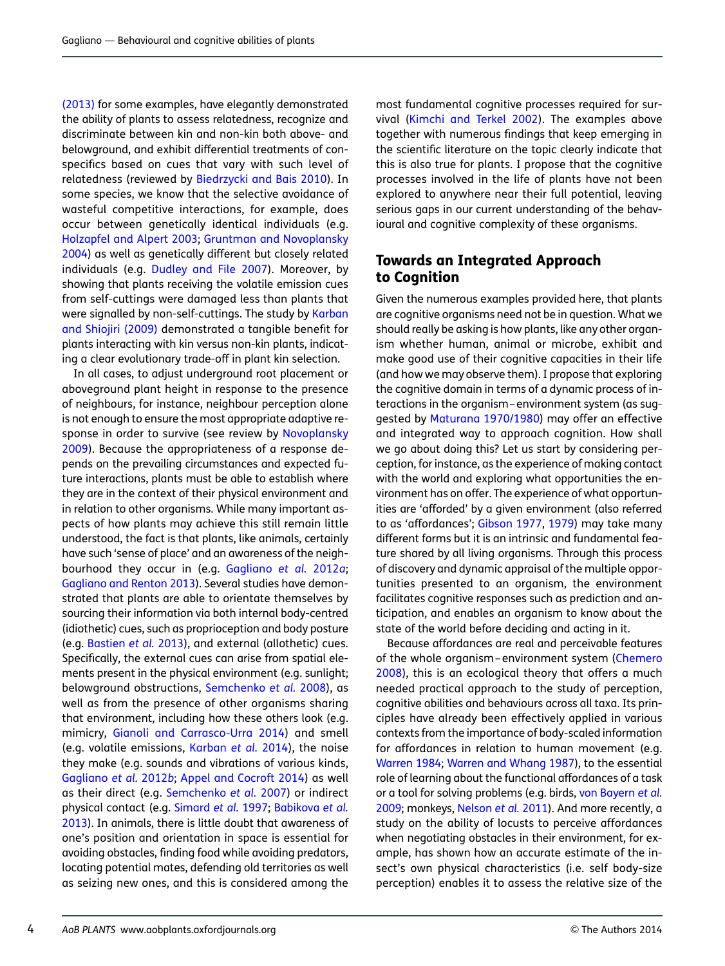[\(2013\)](#page-6-0) for some examples, have elegantly demonstrated the ability of plants to assess relatedness, recognize and discriminate between kin and non-kin both above- and belowground, and exhibit differential treatments of conspecifics based on cues that vary with such level of relatedness (reviewed by [Biedrzycki and Bais 2010\)](#page-5-0). In some species, we know that the selective avoidance of wasteful competitive interactions, for example, does occur between genetically identical individuals (e.g. [Holzapfel and Alpert 2003](#page-6-0); [Gruntman and Novoplansky](#page-6-0) [2004](#page-6-0)) as well as genetically different but closely related individuals (e.g. [Dudley and File 2007\)](#page-5-0). Moreover, by showing that plants receiving the volatile emission cues from self-cuttings were damaged less than plants that were signalled by non-self-cuttings. The study by [Karban](#page-6-0) [and Shiojiri \(2009\)](#page-6-0) demonstrated a tangible benefit for plants interacting with kin versus non-kin plants, indicating a clear evolutionary trade-off in plant kin selection.

In all cases, to adjust underground root placement or aboveground plant height in response to the presence of neighbours, for instance, neighbour perception alone is not enough to ensure the most appropriate adaptive response in order to survive (see review by [Novoplansky](#page-6-0) [2009\)](#page-6-0). Because the appropriateness of a response depends on the prevailing circumstances and expected future interactions, plants must be able to establish where they are in the context of their physical environment and in relation to other organisms. While many important aspects of how plants may achieve this still remain little understood, the fact is that plants, like animals, certainly have such 'sense of place' and an awareness of the neighbourhood they occur in (e.g. [Gagliano](#page-6-0) et al. 2012a; [Gagliano and Renton 2013\)](#page-5-0). Several studies have demonstrated that plants are able to orientate themselves by sourcing their information via both internal body-centred (idiothetic) cues, such as proprioception and body posture (e.g. [Bastien](#page-5-0) et al. 2013), and external (allothetic) cues. Specifically, the external cues can arise from spatial elements present in the physical environment (e.g. sunlight; belowground obstructions, [Semchenko](#page-7-0) et al. 2008), as well as from the presence of other organisms sharing that environment, including how these others look (e.g. mimicry, [Gianoli and Carrasco-Urra 2014](#page-6-0)) and smell (e.g. volatile emissions, [Karban](#page-6-0) et al. 2014), the noise they make (e.g. sounds and vibrations of various kinds, [Gagliano](#page-6-0) et al. 2012b; [Appel and Cocroft 2014](#page-5-0)) as well as their direct (e.g. [Semchenko](#page-6-0) et al. 2007) or indirect physical contact (e.g. [Simard](#page-7-0) et al. 1997; [Babikova](#page-5-0) et al. [2013\)](#page-5-0). In animals, there is little doubt that awareness of one's position and orientation in space is essential for avoiding obstacles, finding food while avoiding predators, locating potential mates, defending old territories as well as seizing new ones, and this is considered among the

most fundamental cognitive processes required for survival [\(Kimchi and Terkel 2002](#page-6-0)). The examples above together with numerous findings that keep emerging in the scientific literature on the topic clearly indicate that this is also true for plants. I propose that the cognitive processes involved in the life of plants have not been explored to anywhere near their full potential, leaving serious gaps in our current understanding of the behavioural and cognitive complexity of these organisms.

### Towards an Integrated Approach to Cognition

Given the numerous examples provided here, that plants are cognitive organisms need not be in question. What we should really be asking is how plants, like any other organism whether human, animal or microbe, exhibit and make good use of their cognitive capacities in their life (and how we may observe them). I propose that exploring the cognitive domain in terms of a dynamic process of interactions in the organism–environment system (as suggested by [Maturana 1970/1980\)](#page-6-0) may offer an effective and integrated way to approach cognition. How shall we go about doing this? Let us start by considering perception, for instance, as the experience of making contact with the world and exploring what opportunities the environment has on offer. The experience of what opportunities are 'afforded' by a given environment (also referred to as 'affordances'; [Gibson 1977](#page-6-0), [1979\)](#page-6-0) may take many different forms but it is an intrinsic and fundamental feature shared by all living organisms. Through this process of discovery and dynamic appraisal of the multiple opportunities presented to an organism, the environment facilitates cognitive responses such as prediction and anticipation, and enables an organism to know about the state of the world before deciding and acting in it.

Because affordances are real and perceivable features of the whole organism – environment system ([Chemero](#page-5-0) [2008](#page-5-0)), this is an ecological theory that offers a much needed practical approach to the study of perception, cognitive abilities and behaviours across all taxa. Its principles have already been effectively applied in various contexts from the importance of body-scaled information for affordances in relation to human movement (e.g. [Warren 1984;](#page-7-0) [Warren and Whang 1987](#page-7-0)), to the essential role of learning about the functional affordances of a task or a tool for solving problems (e.g. birds, [von Bayern](#page-7-0) et al. [2009;](#page-7-0) monkeys, [Nelson](#page-6-0) et al. 2011). And more recently, a study on the ability of locusts to perceive affordances when negotiating obstacles in their environment, for example, has shown how an accurate estimate of the insect's own physical characteristics (i.e. self body-size perception) enables it to assess the relative size of the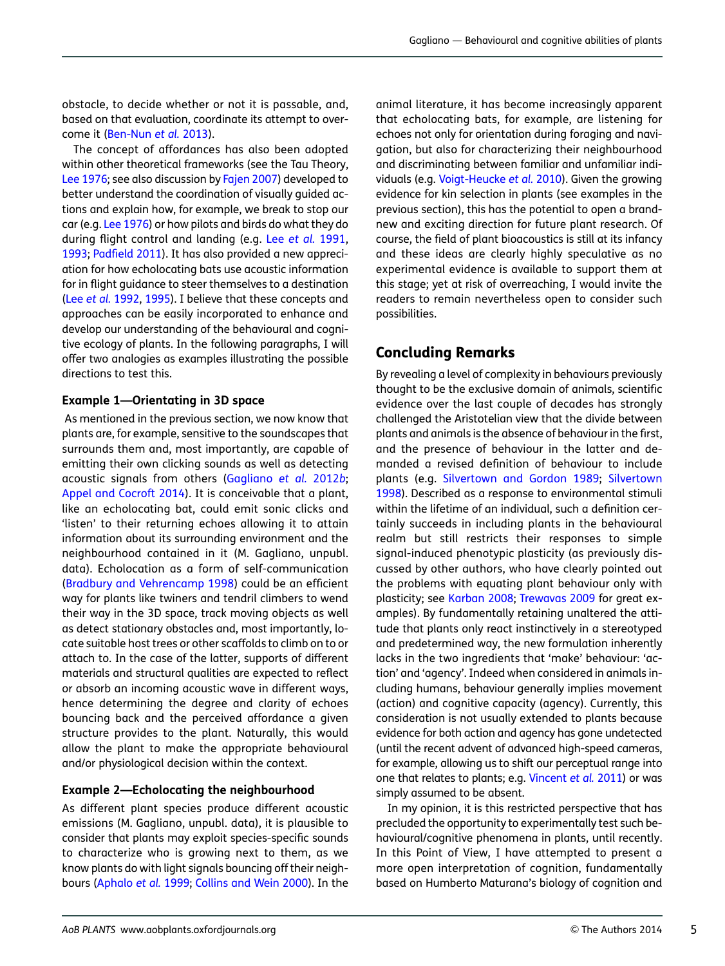obstacle, to decide whether or not it is passable, and, based on that evaluation, coordinate its attempt to overcome it [\(Ben-Nun](#page-5-0) et al. 2013).

The concept of affordances has also been adopted within other theoretical frameworks (see the Tau Theory, [Lee 1976](#page-6-0); see also discussion by [Fajen 2007](#page-5-0)) developed to better understand the coordination of visually guided actions and explain how, for example, we break to stop our car (e.g. [Lee 1976](#page-6-0)) or how pilots and birds do what they do during flight control and landing (e.g. Lee [et al.](#page-6-0) 1991, [1993;](#page-6-0) [Padfield 2011](#page-6-0)). It has also provided a new appreciation for how echolocating bats use acoustic information for in flight guidance to steer themselves to a destination (Lee et al. [1992,](#page-6-0) [1995](#page-6-0)). I believe that these concepts and approaches can be easily incorporated to enhance and develop our understanding of the behavioural and cognitive ecology of plants. In the following paragraphs, I will offer two analogies as examples illustrating the possible directions to test this.

#### Example 1—Orientating in 3D space

As mentioned in the previous section, we now know that plants are, for example, sensitive to the soundscapes that surrounds them and, most importantly, are capable of emitting their own clicking sounds as well as detecting acoustic signals from others [\(Gagliano](#page-6-0) et al. 2012b; [Appel and Cocroft 2014\)](#page-5-0). It is conceivable that a plant, like an echolocating bat, could emit sonic clicks and 'listen' to their returning echoes allowing it to attain information about its surrounding environment and the neighbourhood contained in it (M. Gagliano, unpubl. data). Echolocation as a form of self-communication [\(Bradbury and Vehrencamp 1998](#page-5-0)) could be an efficient way for plants like twiners and tendril climbers to wend their way in the 3D space, track moving objects as well as detect stationary obstacles and, most importantly, locate suitable host trees or other scaffolds to climb on to or attach to. In the case of the latter, supports of different materials and structural qualities are expected to reflect or absorb an incoming acoustic wave in different ways, hence determining the degree and clarity of echoes bouncing back and the perceived affordance a given structure provides to the plant. Naturally, this would allow the plant to make the appropriate behavioural and/or physiological decision within the context.

#### Example 2—Echolocating the neighbourhood

As different plant species produce different acoustic emissions (M. Gagliano, unpubl. data), it is plausible to consider that plants may exploit species-specific sounds to characterize who is growing next to them, as we know plants do with light signals bouncing off their neighbours ([Aphalo](#page-5-0) et al. 1999; [Collins and Wein 2000](#page-5-0)). In the

animal literature, it has become increasingly apparent that echolocating bats, for example, are listening for echoes not only for orientation during foraging and navigation, but also for characterizing their neighbourhood and discriminating between familiar and unfamiliar individuals (e.g. [Voigt-Heucke](#page-7-0) et al. 2010). Given the growing evidence for kin selection in plants (see examples in the previous section), this has the potential to open a brandnew and exciting direction for future plant research. Of course, the field of plant bioacoustics is still at its infancy and these ideas are clearly highly speculative as no experimental evidence is available to support them at this stage; yet at risk of overreaching, I would invite the readers to remain nevertheless open to consider such possibilities.

# Concluding Remarks

By revealing a level of complexity in behaviours previously thought to be the exclusive domain of animals, scientific evidence over the last couple of decades has strongly challenged the Aristotelian view that the divide between plants and animals is the absence of behaviour in the first, and the presence of behaviour in the latter and demanded a revised definition of behaviour to include plants (e.g. [Silvertown and Gordon 1989](#page-7-0); [Silvertown](#page-7-0) [1998\)](#page-7-0). Described as a response to environmental stimuli within the lifetime of an individual, such a definition certainly succeeds in including plants in the behavioural realm but still restricts their responses to simple signal-induced phenotypic plasticity (as previously discussed by other authors, who have clearly pointed out the problems with equating plant behaviour only with plasticity; see [Karban 2008](#page-6-0); [Trewavas 2009](#page-7-0) for great examples). By fundamentally retaining unaltered the attitude that plants only react instinctively in a stereotyped and predetermined way, the new formulation inherently lacks in the two ingredients that 'make' behaviour: 'action' and 'agency'. Indeed when considered in animals including humans, behaviour generally implies movement (action) and cognitive capacity (agency). Currently, this consideration is not usually extended to plants because evidence for both action and agency has gone undetected (until the recent advent of advanced high-speed cameras, for example, allowing us to shift our perceptual range into one that relates to plants; e.g. [Vincent](#page-7-0) et al. 2011) or was simply assumed to be absent.

In my opinion, it is this restricted perspective that has precluded the opportunity to experimentally test such behavioural/cognitive phenomena in plants, until recently. In this Point of View, I have attempted to present a more open interpretation of cognition, fundamentally based on Humberto Maturana's biology of cognition and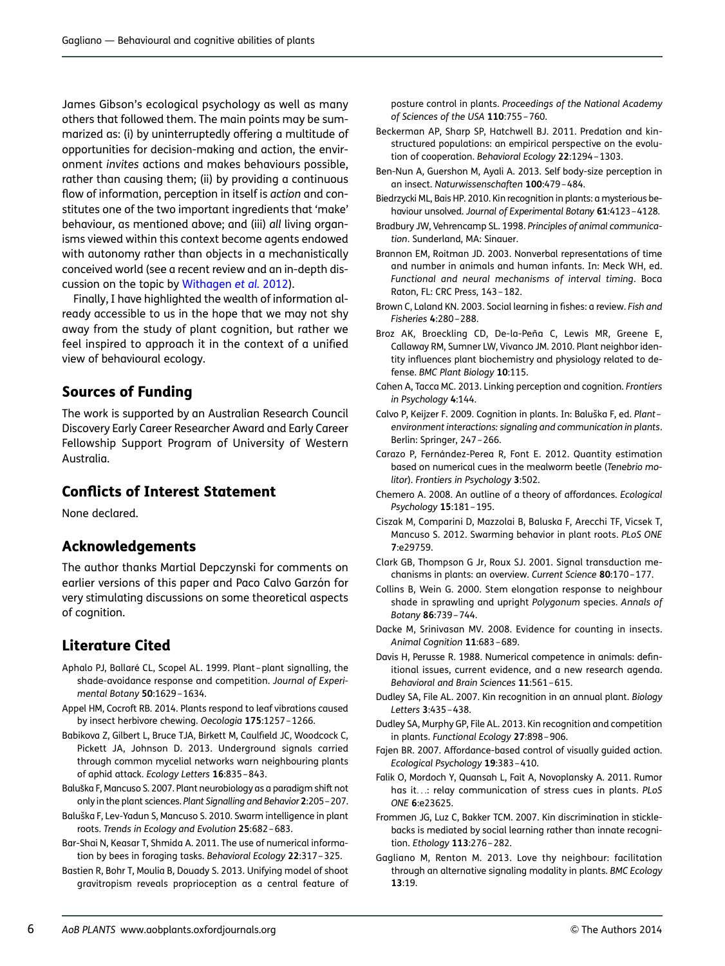<span id="page-5-0"></span>James Gibson's ecological psychology as well as many others that followed them. The main points may be summarized as: (i) by uninterruptedly offering a multitude of opportunities for decision-making and action, the environment invites actions and makes behaviours possible, rather than causing them; (ii) by providing a continuous flow of information, perception in itself is action and constitutes one of the two important ingredients that 'make' behaviour, as mentioned above; and (iii) all living organisms viewed within this context become agents endowed with autonomy rather than objects in a mechanistically conceived world (see a recent review and an in-depth discussion on the topic by [Withagen](#page-7-0) et al. 2012).

Finally, I have highlighted the wealth of information already accessible to us in the hope that we may not shy away from the study of plant cognition, but rather we feel inspired to approach it in the context of a unified view of behavioural ecology.

#### Sources of Funding

The work is supported by an Australian Research Council Discovery Early Career Researcher Award and Early Career Fellowship Support Program of University of Western Australia.

#### Conflicts of Interest Statement

None declared.

#### Acknowledgements

The author thanks Martial Depczynski for comments on earlier versions of this paper and Paco Calvo Garzón for very stimulating discussions on some theoretical aspects of cognition.

## Literature Cited

- Aphalo PJ, Ballaré CL, Scopel AL. 1999. Plant-plant signalling, the shade-avoidance response and competition. Journal of Experimental Botany 50:1629 –1634.
- Appel HM, Cocroft RB. 2014. Plants respond to leaf vibrations caused by insect herbivore chewing. Oecologia 175:1257 –1266.
- Babikova Z, Gilbert L, Bruce TJA, Birkett M, Caulfield JC, Woodcock C, Pickett JA, Johnson D. 2013. Underground signals carried through common mycelial networks warn neighbouring plants of aphid attack. Ecology Letters 16:835 –843.
- Baluška F, Mancuso S. 2007. Plant neurobiology as a paradigm shift not only in the plant sciences. Plant Signalling and Behavior 2:205–207.
- Baluška F, Lev-Yadun S, Mancuso S. 2010. Swarm intelligence in plant roots. Trends in Ecology and Evolution 25:682 –683.
- Bar-Shai N, Keasar T, Shmida A. 2011. The use of numerical information by bees in foraging tasks. Behavioral Ecology 22:317 –325.
- Bastien R, Bohr T, Moulia B, Douady S. 2013. Unifying model of shoot gravitropism reveals proprioception as a central feature of

posture control in plants. Proceedings of the National Academy of Sciences of the USA 110:755-760.

- Beckerman AP, Sharp SP, Hatchwell BJ. 2011. Predation and kinstructured populations: an empirical perspective on the evolution of cooperation. Behavioral Ecology 22:1294 –1303.
- Ben-Nun A, Guershon M, Ayali A. 2013. Self body-size perception in an insect. Naturwissenschaften 100:479 –484.
- Biedrzycki ML, Bais HP. 2010. Kin recognition in plants: a mysterious behaviour unsolved. Journal of Experimental Botany 61:4123-4128.
- Bradbury JW, Vehrencamp SL. 1998. Principles of animal communication. Sunderland, MA: Sinauer.
- Brannon EM, Roitman JD. 2003. Nonverbal representations of time and number in animals and human infants. In: Meck WH, ed. Functional and neural mechanisms of interval timing. Boca Raton, FL: CRC Press, 143 –182.
- Brown C, Laland KN. 2003. Social learning in fishes: a review. Fish and Fisheries 4:280 –288.
- Broz AK, Broeckling CD, De-la-Peña C, Lewis MR, Greene E, Callaway RM, Sumner LW, Vivanco JM. 2010. Plant neighbor identity influences plant biochemistry and physiology related to defense. BMC Plant Biology 10:115.
- Cahen A, Tacca MC. 2013. Linking perception and cognition. Frontiers in Psychology 4:144.
- Calvo P, Keijzer F. 2009. Cognition in plants. In: Baluška F, ed. Plantenvironment interactions: signaling and communication in plants. Berlin: Springer, 247 –266.
- Carazo P, Fernández-Perea R, Font E. 2012. Quantity estimation based on numerical cues in the mealworm beetle (Tenebrio molitor). Frontiers in Psychology 3:502.
- Chemero A. 2008. An outline of a theory of affordances. Ecological Psychology 15:181 –195.
- Ciszak M, Comparini D, Mazzolai B, Baluska F, Arecchi TF, Vicsek T, Mancuso S. 2012. Swarming behavior in plant roots. PLoS ONE 7:e29759.
- Clark GB, Thompson G Jr, Roux SJ. 2001. Signal transduction mechanisms in plants: an overview. Current Science 80:170 –177.
- Collins B, Wein G. 2000. Stem elongation response to neighbour shade in sprawling and upright Polygonum species. Annals of Botany 86:739 –744.
- Dacke M, Srinivasan MV. 2008. Evidence for counting in insects. Animal Cognition 11:683 –689.
- Davis H, Perusse R. 1988. Numerical competence in animals: definitional issues, current evidence, and a new research agenda. Behavioral and Brain Sciences 11:561 –615.
- Dudley SA, File AL. 2007. Kin recognition in an annual plant. Biology Letters 3:435 –438.
- Dudley SA, Murphy GP, File AL. 2013. Kin recognition and competition in plants. Functional Ecology 27:898 –906.
- Fajen BR. 2007. Affordance-based control of visually guided action. Ecological Psychology 19:383 –410.
- Falik O, Mordoch Y, Quansah L, Fait A, Novoplansky A. 2011. Rumor has it...: relay communication of stress cues in plants. PLoS ONE 6:e23625.
- Frommen JG, Luz C, Bakker TCM. 2007. Kin discrimination in sticklebacks is mediated by social learning rather than innate recognition. Ethology 113:276 –282.
- Gagliano M, Renton M. 2013. Love thy neighbour: facilitation through an alternative signaling modality in plants. BMC Ecology 13:19.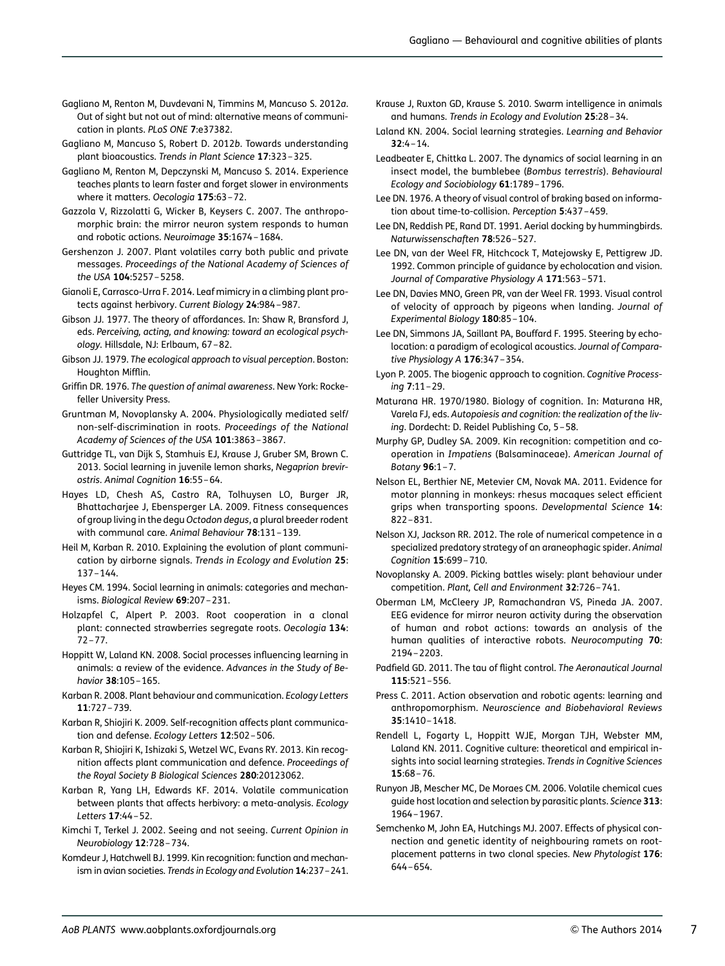- <span id="page-6-0"></span>Gagliano M, Renton M, Duvdevani N, Timmins M, Mancuso S. 2012a. Out of sight but not out of mind: alternative means of communication in plants. PLoS ONE 7:e37382.
- Gagliano M, Mancuso S, Robert D. 2012b. Towards understanding plant bioacoustics. Trends in Plant Science 17:323 –325.
- Gagliano M, Renton M, Depczynski M, Mancuso S. 2014. Experience teaches plants to learn faster and forget slower in environments where it matters. Oecologia 175:63 –72.
- Gazzola V, Rizzolatti G, Wicker B, Keysers C. 2007. The anthropomorphic brain: the mirror neuron system responds to human and robotic actions. Neuroimage 35:1674 –1684.
- Gershenzon J. 2007. Plant volatiles carry both public and private messages. Proceedings of the National Academy of Sciences of the USA 104:5257 –5258.
- Gianoli E, Carrasco-Urra F. 2014. Leaf mimicry in a climbing plant protects against herbivory. Current Biology 24:984 –987.
- Gibson JJ. 1977. The theory of affordances. In: Shaw R, Bransford J, eds. Perceiving, acting, and knowing: toward an ecological psychology. Hillsdale, NJ: Erlbaum, 67 –82.
- Gibson JJ. 1979. The ecological approach to visual perception. Boston: Houghton Mifflin.
- Griffin DR. 1976. The question of animal awareness. New York: Rockefeller University Press.
- Gruntman M, Novoplansky A. 2004. Physiologically mediated self/ non-self-discrimination in roots. Proceedings of the National Academy of Sciences of the USA 101:3863 –3867.
- Guttridge TL, van Dijk S, Stamhuis EJ, Krause J, Gruber SM, Brown C. 2013. Social learning in juvenile lemon sharks, Negaprion brevirostris. Animal Cognition 16:55–64.
- Hayes LD, Chesh AS, Castro RA, Tolhuysen LO, Burger JR, Bhattacharjee J, Ebensperger LA. 2009. Fitness consequences of group living in the degu Octodon degus, a plural breeder rodent with communal care. Animal Behaviour 78:131 –139.
- Heil M, Karban R. 2010. Explaining the evolution of plant communication by airborne signals. Trends in Ecology and Evolution 25: 137 –144.
- Heyes CM. 1994. Social learning in animals: categories and mechanisms. Biological Review 69:207 –231.
- Holzapfel C, Alpert P. 2003. Root cooperation in a clonal plant: connected strawberries segregate roots. Oecologia 134:  $72 - 77.$
- Hoppitt W, Laland KN. 2008. Social processes influencing learning in animals: a review of the evidence. Advances in the Study of Behavior 38:105 –165.
- Karban R. 2008. Plant behaviour and communication. Ecology Letters 11:727 –739.
- Karban R, Shiojiri K. 2009. Self-recognition affects plant communication and defense. Ecology Letters 12:502 –506.
- Karban R, Shiojiri K, Ishizaki S, Wetzel WC, Evans RY. 2013. Kin recognition affects plant communication and defence. Proceedings of the Royal Society B Biological Sciences 280:20123062.
- Karban R, Yang LH, Edwards KF. 2014. Volatile communication between plants that affects herbivory: a meta-analysis. Ecology Letters 17:44–52.
- Kimchi T, Terkel J. 2002. Seeing and not seeing. Current Opinion in Neurobiology 12:728 –734.
- Komdeur J, Hatchwell BJ. 1999. Kin recognition: function and mechanism in avian societies. Trends in Ecology and Evolution 14:237–241.
- Krause J, Ruxton GD, Krause S. 2010. Swarm intelligence in animals and humans. Trends in Ecology and Evolution 25:28 –34.
- Laland KN. 2004. Social learning strategies. Learning and Behavior  $32:4 - 14.$
- Leadbeater E, Chittka L. 2007. The dynamics of social learning in an insect model, the bumblebee (Bombus terrestris). Behavioural Ecology and Sociobiology 61:1789 –1796.
- Lee DN. 1976. A theory of visual control of braking based on information about time-to-collision. Perception 5:437 –459.
- Lee DN, Reddish PE, Rand DT. 1991. Aerial docking by hummingbirds. Naturwissenschaften 78:526 –527.
- Lee DN, van der Weel FR, Hitchcock T, Matejowsky E, Pettigrew JD. 1992. Common principle of guidance by echolocation and vision. Journal of Comparative Physiology A 171:563-571.
- Lee DN, Davies MNO, Green PR, van der Weel FR. 1993. Visual control of velocity of approach by pigeons when landing. Journal of Experimental Biology 180:85 –104.
- Lee DN, Simmons JA, Saillant PA, Bouffard F. 1995. Steering by echolocation: a paradigm of ecological acoustics. Journal of Comparative Physiology A 176:347-354.
- Lyon P. 2005. The biogenic approach to cognition. Cognitive Processing 7:11 –29.
- Maturana HR. 1970/1980. Biology of cognition. In: Maturana HR, Varela FJ, eds. Autopoiesis and cognition: the realization of the living. Dordecht: D. Reidel Publishing Co, 5 –58.
- Murphy GP, Dudley SA. 2009. Kin recognition: competition and cooperation in Impatiens (Balsaminaceae). American Journal of Botany 96:1-7.
- Nelson EL, Berthier NE, Metevier CM, Novak MA. 2011. Evidence for motor planning in monkeys: rhesus macaques select efficient grips when transporting spoons. Developmental Science 14: 822 –831.
- Nelson XJ, Jackson RR. 2012. The role of numerical competence in a specialized predatory strategy of an araneophagic spider. Animal Cognition 15:699 –710.
- Novoplansky A. 2009. Picking battles wisely: plant behaviour under competition. Plant, Cell and Environment 32:726-741.
- Oberman LM, McCleery JP, Ramachandran VS, Pineda JA. 2007. EEG evidence for mirror neuron activity during the observation of human and robot actions: towards an analysis of the human qualities of interactive robots. Neurocomputing 70: 2194 –2203.
- Padfield GD. 2011. The tau of flight control. The Aeronautical Journal 115:521 –556.
- Press C. 2011. Action observation and robotic agents: learning and anthropomorphism. Neuroscience and Biobehavioral Reviews 35:1410 –1418.
- Rendell L, Fogarty L, Hoppitt WJE, Morgan TJH, Webster MM, Laland KN. 2011. Cognitive culture: theoretical and empirical insights into social learning strategies. Trends in Cognitive Sciences 15:68 –76.
- Runyon JB, Mescher MC, De Moraes CM. 2006. Volatile chemical cues guide host location and selection by parasitic plants. Science 313: 1964 –1967.
- Semchenko M, John EA, Hutchings MJ. 2007. Effects of physical connection and genetic identity of neighbouring ramets on rootplacement patterns in two clonal species. New Phytologist 176: 644 –654.